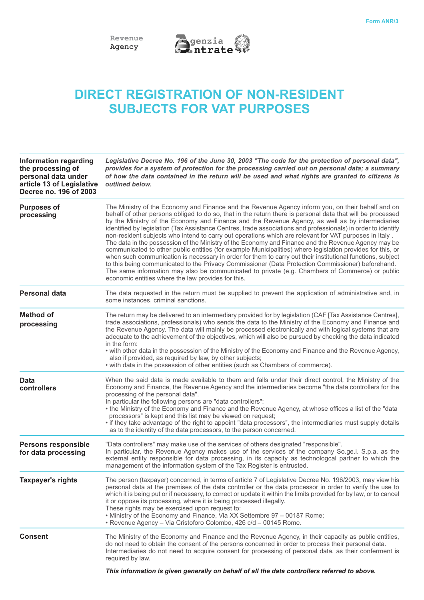



## **DIRECT REGISTRATION OF NON-RESIDENT SUBJECTS FOR VAT PURPOSES**

| <b>Information regarding</b><br>the processing of<br>personal data under<br>article 13 of Legislative<br>Decree no. 196 of 2003 | Legislative Decree No. 196 of the June 30, 2003 "The code for the protection of personal data",<br>provides for a system of protection for the processing carried out on personal data; a summary<br>of how the data contained in the return will be used and what rights are granted to citizens is<br>outlined below.                                                                                                                                                                                                                                                                                                                                                                                                                                                                                                                                                                                                                                                                                                                                                                                                                       |  |  |  |
|---------------------------------------------------------------------------------------------------------------------------------|-----------------------------------------------------------------------------------------------------------------------------------------------------------------------------------------------------------------------------------------------------------------------------------------------------------------------------------------------------------------------------------------------------------------------------------------------------------------------------------------------------------------------------------------------------------------------------------------------------------------------------------------------------------------------------------------------------------------------------------------------------------------------------------------------------------------------------------------------------------------------------------------------------------------------------------------------------------------------------------------------------------------------------------------------------------------------------------------------------------------------------------------------|--|--|--|
| <b>Purposes of</b><br>processing                                                                                                | The Ministry of the Economy and Finance and the Revenue Agency inform you, on their behalf and on<br>behalf of other persons obliged to do so, that in the return there is personal data that will be processed<br>by the Ministry of the Economy and Finance and the Revenue Agency, as well as by intermediaries<br>identified by legislation (Tax Assistance Centres, trade associations and professionals) in order to identify<br>non-resident subjects who intend to carry out operations which are relevant for VAT purposes in Italy.<br>The data in the possession of the Ministry of the Economy and Finance and the Revenue Agency may be<br>communicated to other public entities (for example Municipalities) where legislation provides for this, or<br>when such communication is necessary in order for them to carry out their institutional functions, subject<br>to this being communicated to the Privacy Commissioner (Data Protection Commissioner) beforehand.<br>The same information may also be communicated to private (e.g. Chambers of Commerce) or public<br>economic entities where the law provides for this. |  |  |  |
| <b>Personal data</b>                                                                                                            | The data requested in the return must be supplied to prevent the application of administrative and, in<br>some instances, criminal sanctions.                                                                                                                                                                                                                                                                                                                                                                                                                                                                                                                                                                                                                                                                                                                                                                                                                                                                                                                                                                                                 |  |  |  |
| <b>Method of</b><br>processing                                                                                                  | The return may be delivered to an intermediary provided for by legislation (CAF [Tax Assistance Centres],<br>trade associations, professionals) who sends the data to the Ministry of the Economy and Finance and<br>the Revenue Agency. The data will mainly be processed electronically and with logical systems that are<br>adequate to the achievement of the objectives, which will also be pursued by checking the data indicated<br>in the form:<br>• with other data in the possession of the Ministry of the Economy and Finance and the Revenue Agency,<br>also if provided, as required by law, by other subjects;<br>• with data in the possession of other entities (such as Chambers of commerce).                                                                                                                                                                                                                                                                                                                                                                                                                              |  |  |  |
| <b>Data</b><br>controllers                                                                                                      | When the said data is made available to them and falls under their direct control, the Ministry of the<br>Economy and Finance, the Revenue Agency and the intermediaries become "the data controllers for the<br>processing of the personal data".<br>In particular the following persons are "data controllers":<br>• the Ministry of the Economy and Finance and the Revenue Agency, at whose offices a list of the "data<br>processors" is kept and this list may be viewed on request;<br>· if they take advantage of the right to appoint "data processors", the intermediaries must supply details<br>as to the identity of the data processors, to the person concerned.                                                                                                                                                                                                                                                                                                                                                                                                                                                               |  |  |  |
| <b>Persons responsible</b><br>for data processing                                                                               | "Data controllers" may make use of the services of others designated "responsible".<br>In particular, the Revenue Agency makes use of the services of the company So.ge.i. S.p.a. as the<br>external entity responsible for data processing, in its capacity as technologcal partner to which the<br>management of the information system of the Tax Register is entrusted.                                                                                                                                                                                                                                                                                                                                                                                                                                                                                                                                                                                                                                                                                                                                                                   |  |  |  |
| <b>Taxpayer's rights</b>                                                                                                        | The person (taxpayer) concerned, in terms of article 7 of Legislative Decree No. 196/2003, may view his<br>personal data at the premises of the data controller or the data processor in order to verify the use to<br>which it is being put or if necessary, to correct or update it within the limits provided for by law, or to cancel<br>it or oppose its processing, where it is being processed illegally.<br>These rights may be exercised upon request to:<br>. Ministry of the Economy and Finance, Via XX Settembre 97 - 00187 Rome;<br>· Revenue Agency - Via Cristoforo Colombo, 426 c/d - 00145 Rome.                                                                                                                                                                                                                                                                                                                                                                                                                                                                                                                            |  |  |  |
| <b>Consent</b>                                                                                                                  | The Ministry of the Economy and Finance and the Revenue Agency, in their capacity as public entities,<br>do not need to obtain the consent of the persons concerned in order to process their personal data.<br>Intermediaries do not need to acquire consent for processing of personal data, as their conferment is<br>required by law.                                                                                                                                                                                                                                                                                                                                                                                                                                                                                                                                                                                                                                                                                                                                                                                                     |  |  |  |
|                                                                                                                                 | This information is given generally on behalf of all the data controllers referred to above.                                                                                                                                                                                                                                                                                                                                                                                                                                                                                                                                                                                                                                                                                                                                                                                                                                                                                                                                                                                                                                                  |  |  |  |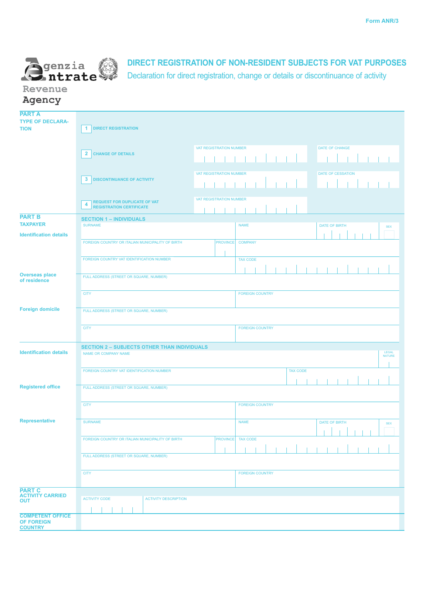

## **DIRECT REGISTRATION OF NON-RESIDENT SUBJECTS FOR VAT PURPOSES**

Declaration for direct registration, change or details or discontinuance of activity

**Revenue Agency**

| <b>PART A</b>                            |                                                                                          |                         |                          |  |                             |  |  |  |
|------------------------------------------|------------------------------------------------------------------------------------------|-------------------------|--------------------------|--|-----------------------------|--|--|--|
| <b>TYPE OF DECLARA-</b>                  |                                                                                          |                         |                          |  |                             |  |  |  |
| <b>TION</b>                              | <b>DIRECT REGISTRATION</b><br>$\mathbf{1}$                                               |                         |                          |  |                             |  |  |  |
|                                          |                                                                                          |                         |                          |  |                             |  |  |  |
|                                          |                                                                                          | VAT REGISTRATION NUMBER |                          |  | DATE OF CHANGE              |  |  |  |
|                                          | $\overline{2}$<br><b>CHANGE OF DETAILS</b>                                               |                         |                          |  |                             |  |  |  |
|                                          |                                                                                          |                         |                          |  |                             |  |  |  |
|                                          |                                                                                          |                         |                          |  |                             |  |  |  |
|                                          |                                                                                          | VAT REGISTRATION NUMBER |                          |  | <b>DATE OF CESSATION</b>    |  |  |  |
|                                          | 3 <sup>1</sup><br><b>DISCONTINUANCE OF ACTIVITY</b>                                      |                         |                          |  |                             |  |  |  |
|                                          |                                                                                          |                         |                          |  |                             |  |  |  |
|                                          |                                                                                          | VAT REGISTRATION NUMBER |                          |  |                             |  |  |  |
|                                          | <b>REQUEST FOR DUPLICATE OF VAT</b><br>$\overline{4}$<br><b>REGISTRATION CERTIFICATE</b> |                         |                          |  |                             |  |  |  |
|                                          |                                                                                          |                         |                          |  |                             |  |  |  |
| <b>PART B</b>                            | <b>SECTION 1 - INDIVIDUALS</b>                                                           |                         |                          |  |                             |  |  |  |
| <b>TAXPAYER</b>                          | <b>SURNAME</b>                                                                           |                         | <b>NAME</b>              |  | DATE OF BIRTH<br><b>SEX</b> |  |  |  |
| <b>Identification details</b>            |                                                                                          |                         |                          |  |                             |  |  |  |
|                                          | FOREIGN COUNTRY OR ITALIAN MUNICIPALITY OF BIRTH                                         | <b>PROVINCE</b>         | <b>COMPANY</b>           |  |                             |  |  |  |
|                                          |                                                                                          |                         |                          |  |                             |  |  |  |
|                                          | FOREIGN COUNTRY VAT IDENTIFICATION NUMBER                                                |                         | <b>TAX CODE</b>          |  |                             |  |  |  |
|                                          |                                                                                          |                         |                          |  |                             |  |  |  |
| <b>Overseas place</b>                    | FULL ADDRESS (STREET OR SQUARE, NUMBER)                                                  |                         |                          |  |                             |  |  |  |
| of residence                             |                                                                                          |                         |                          |  |                             |  |  |  |
|                                          |                                                                                          |                         |                          |  |                             |  |  |  |
|                                          | <b>CITY</b><br><b>FOREIGN COUNTRY</b>                                                    |                         |                          |  |                             |  |  |  |
|                                          |                                                                                          |                         |                          |  |                             |  |  |  |
| <b>Foreign domicile</b>                  | FULL ADDRESS (STREET OR SQUARE, NUMBER)                                                  |                         |                          |  |                             |  |  |  |
|                                          |                                                                                          |                         |                          |  |                             |  |  |  |
|                                          | <b>CITY</b>                                                                              |                         | <b>FOREIGN COUNTRY</b>   |  |                             |  |  |  |
|                                          |                                                                                          |                         |                          |  |                             |  |  |  |
|                                          |                                                                                          |                         |                          |  |                             |  |  |  |
| <b>Identification details</b>            | <b>SECTION 2 - SUBJECTS OTHER THAN INDIVIDUALS</b>                                       |                         |                          |  |                             |  |  |  |
|                                          | LEGAL<br>NATURE<br>NAME OR COMPANY NAME                                                  |                         |                          |  |                             |  |  |  |
|                                          |                                                                                          |                         |                          |  |                             |  |  |  |
|                                          | FOREIGN COUNTRY VAT IDENTIFICATION NUMBER<br><b>TAX CODE</b>                             |                         |                          |  |                             |  |  |  |
|                                          |                                                                                          |                         |                          |  |                             |  |  |  |
| <b>Registered office</b>                 | FULL ADDRESS (STREET OR SQUARE, NUMBER)                                                  |                         |                          |  |                             |  |  |  |
|                                          |                                                                                          |                         |                          |  |                             |  |  |  |
|                                          | <b>CITY</b>                                                                              |                         | <b>FOREIGN COUNTRY</b>   |  |                             |  |  |  |
|                                          |                                                                                          |                         |                          |  |                             |  |  |  |
| <b>Representative</b>                    |                                                                                          |                         |                          |  |                             |  |  |  |
|                                          | <b>SURNAME</b>                                                                           |                         | <b>NAME</b>              |  | DATE OF BIRTH<br><b>SEX</b> |  |  |  |
|                                          |                                                                                          |                         |                          |  |                             |  |  |  |
|                                          | FOREIGN COUNTRY OR ITALIAN MUNICIPALITY OF BIRTH                                         |                         | <b>PROVINCE</b> TAX CODE |  |                             |  |  |  |
|                                          |                                                                                          |                         |                          |  |                             |  |  |  |
|                                          | FULL ADDRESS (STREET OR SQUARE, NUMBER)                                                  |                         |                          |  |                             |  |  |  |
|                                          |                                                                                          |                         |                          |  |                             |  |  |  |
|                                          | <b>CITY</b>                                                                              |                         | <b>FOREIGN COUNTRY</b>   |  |                             |  |  |  |
|                                          |                                                                                          |                         |                          |  |                             |  |  |  |
|                                          |                                                                                          |                         |                          |  |                             |  |  |  |
| <b>PART C</b><br><b>ACTIVITY CARRIED</b> |                                                                                          |                         |                          |  |                             |  |  |  |
| <b>OUT</b>                               | <b>ACTIVITY CODE</b><br><b>ACTIVITY DESCRIPTION</b>                                      |                         |                          |  |                             |  |  |  |
|                                          |                                                                                          |                         |                          |  |                             |  |  |  |
| <b>COMPETENT OFFICE</b>                  |                                                                                          |                         |                          |  |                             |  |  |  |
| <b>OF FOREIGN</b><br><b>COUNTRY</b>      |                                                                                          |                         |                          |  |                             |  |  |  |
|                                          |                                                                                          |                         |                          |  |                             |  |  |  |